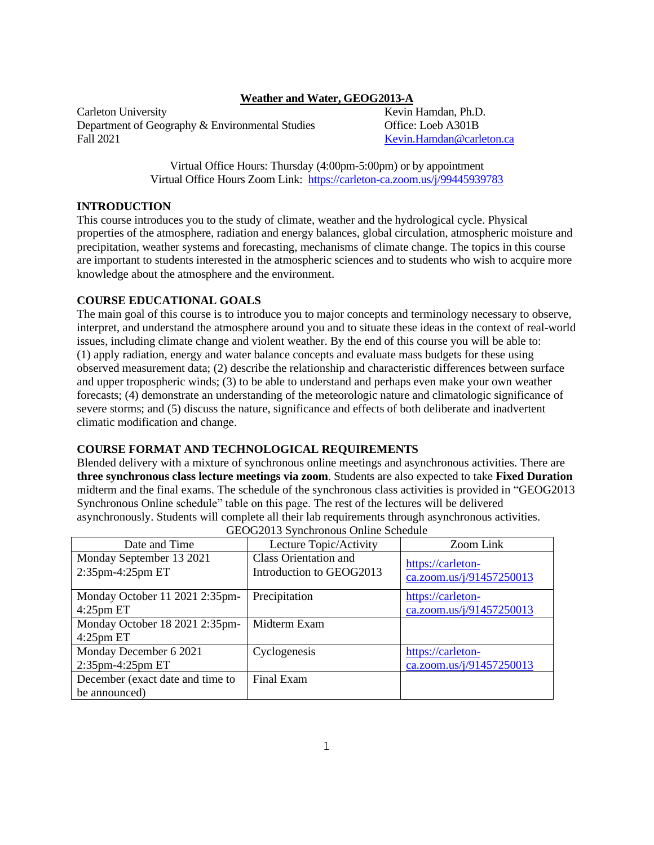## **Weather and Water, GEOG2013-A**

Carleton University **Kevin Hamdan, Ph.D.** Kevin Hamdan, Ph.D. Department of Geography & Environmental Studies Office: Loeb A301B Fall 2021 [Kevin.Hamdan@carleton.ca](mailto:Kevin.Hamdan@carleton.ca)

Virtual Office Hours: Thursday (4:00pm-5:00pm) or by appointment Virtual Office Hours Zoom Link:<https://carleton-ca.zoom.us/j/99445939783>

## **INTRODUCTION**

This course introduces you to the study of climate, weather and the hydrological cycle. Physical properties of the atmosphere, radiation and energy balances, global circulation, atmospheric moisture and precipitation, weather systems and forecasting, mechanisms of climate change. The topics in this course are important to students interested in the atmospheric sciences and to students who wish to acquire more knowledge about the atmosphere and the environment.

## **COURSE EDUCATIONAL GOALS**

The main goal of this course is to introduce you to major concepts and terminology necessary to observe, interpret, and understand the atmosphere around you and to situate these ideas in the context of real-world issues, including climate change and violent weather. By the end of this course you will be able to: (1) apply radiation, energy and water balance concepts and evaluate mass budgets for these using observed measurement data; (2) describe the relationship and characteristic differences between surface and upper tropospheric winds; (3) to be able to understand and perhaps even make your own weather forecasts; (4) demonstrate an understanding of the meteorologic nature and climatologic significance of severe storms; and (5) discuss the nature, significance and effects of both deliberate and inadvertent climatic modification and change.

## **COURSE FORMAT AND TECHNOLOGICAL REQUIREMENTS**

Blended delivery with a mixture of synchronous online meetings and asynchronous activities. There are **three synchronous class lecture meetings via zoom**. Students are also expected to take **Fixed Duration** midterm and the final exams. The schedule of the synchronous class activities is provided in "GEOG2013 Synchronous Online schedule" table on this page. The rest of the lectures will be delivered asynchronously. Students will complete all their lab requirements through asynchronous activities.

| Date and Time                                  | Lecture Topic/Activity                                   | Zoom Link                                     |
|------------------------------------------------|----------------------------------------------------------|-----------------------------------------------|
| Monday September 13 2021<br>2:35pm-4:25pm ET   | <b>Class Orientation and</b><br>Introduction to GEOG2013 | https://carleton-<br>ca.zoom.us/j/91457250013 |
| Monday October 11 2021 2:35pm-<br>$4:25$ pm ET | Precipitation                                            | https://carleton-<br>ca.zoom.us/j/91457250013 |
| Monday October 18 2021 2:35pm-<br>$4:25$ pm ET | Midterm Exam                                             |                                               |
| Monday December 6 2021                         | Cyclogenesis                                             | https://carleton-                             |
| 2:35pm-4:25pm ET                               |                                                          | ca.zoom.us/j/91457250013                      |
| December (exact date and time to               | Final Exam                                               |                                               |
| be announced)                                  |                                                          |                                               |

GEOG2013 Synchronous Online Schedule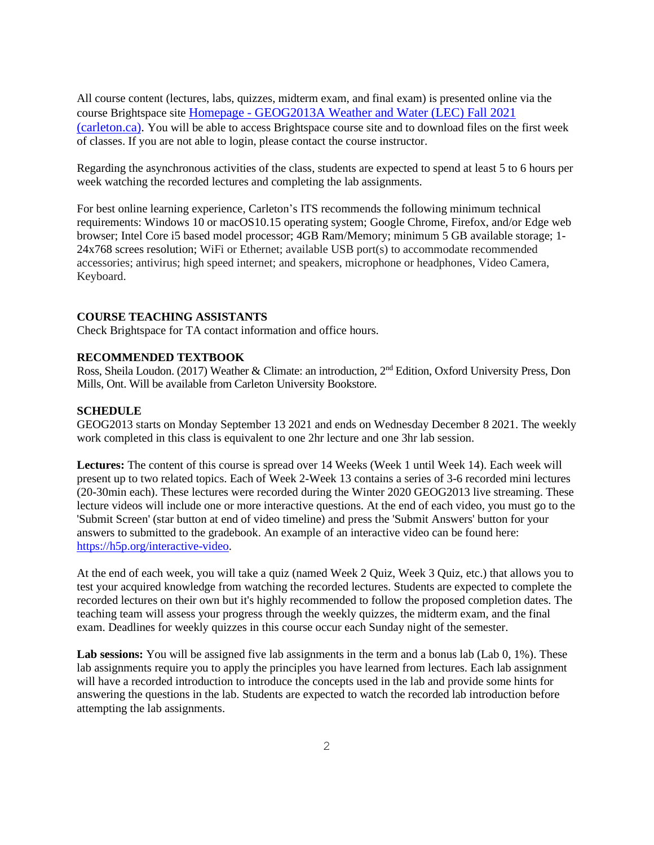All course content (lectures, labs, quizzes, midterm exam, and final exam) is presented online via the course Brightspace site Homepage - [GEOG2013A Weather and Water \(LEC\) Fall 2021](https://brightspace.carleton.ca/d2l/home/63090)  [\(carleton.ca\).](https://brightspace.carleton.ca/d2l/home/63090) You will be able to access Brightspace course site and to download files on the first week of classes. If you are not able to login, please contact the course instructor.

Regarding the asynchronous activities of the class, students are expected to spend at least 5 to 6 hours per week watching the recorded lectures and completing the lab assignments.

For best online learning experience, Carleton's ITS recommends the following minimum technical requirements: Windows 10 or macOS10.15 operating system; Google Chrome, Firefox, and/or Edge web browser; Intel Core i5 based model processor; 4GB Ram/Memory; minimum 5 GB available storage; 1- 24x768 screes resolution; WiFi or Ethernet; available USB port(s) to accommodate recommended accessories; antivirus; high speed internet; and speakers, microphone or headphones, Video Camera, Keyboard.

## **COURSE TEACHING ASSISTANTS**

Check Brightspace for TA contact information and office hours.

#### **RECOMMENDED TEXTBOOK**

Ross, Sheila Loudon. (2017) Weather & Climate: an introduction, 2<sup>nd</sup> Edition, Oxford University Press, Don Mills, Ont. Will be available from Carleton University Bookstore.

## **SCHEDULE**

GEOG2013 starts on Monday September 13 2021 and ends on Wednesday December 8 2021. The weekly work completed in this class is equivalent to one 2hr lecture and one 3hr lab session.

**Lectures:** The content of this course is spread over 14 Weeks (Week 1 until Week 14). Each week will present up to two related topics. Each of Week 2-Week 13 contains a series of 3-6 recorded mini lectures (20-30min each). These lectures were recorded during the Winter 2020 GEOG2013 live streaming. These lecture videos will include one or more interactive questions. At the end of each video, you must go to the 'Submit Screen' (star button at end of video timeline) and press the 'Submit Answers' button for your answers to submitted to the gradebook. An example of an interactive video can be found here: [https://h5p.org/interactive-video.](https://h5p.org/interactive-video)

At the end of each week, you will take a quiz (named Week 2 Quiz, Week 3 Quiz, etc.) that allows you to test your acquired knowledge from watching the recorded lectures. Students are expected to complete the recorded lectures on their own but it's highly recommended to follow the proposed completion dates. The teaching team will assess your progress through the weekly quizzes, the midterm exam, and the final exam. Deadlines for weekly quizzes in this course occur each Sunday night of the semester.

Lab sessions: You will be assigned five lab assignments in the term and a bonus lab (Lab 0, 1%). These lab assignments require you to apply the principles you have learned from lectures. Each lab assignment will have a recorded introduction to introduce the concepts used in the lab and provide some hints for answering the questions in the lab. Students are expected to watch the recorded lab introduction before attempting the lab assignments.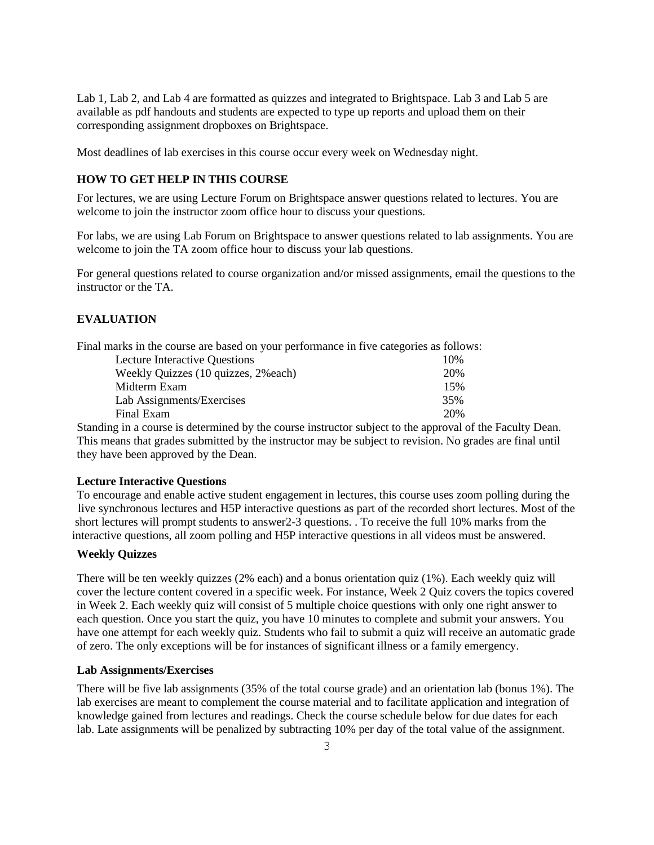Lab 1, Lab 2, and Lab 4 are formatted as quizzes and integrated to Brightspace. Lab 3 and Lab 5 are available as pdf handouts and students are expected to type up reports and upload them on their corresponding assignment dropboxes on Brightspace.

Most deadlines of lab exercises in this course occur every week on Wednesday night.

## **HOW TO GET HELP IN THIS COURSE**

For lectures, we are using Lecture Forum on Brightspace answer questions related to lectures. You are welcome to join the instructor zoom office hour to discuss your questions.

For labs, we are using Lab Forum on Brightspace to answer questions related to lab assignments. You are welcome to join the TA zoom office hour to discuss your lab questions.

For general questions related to course organization and/or missed assignments, email the questions to the instructor or the TA.

## **EVALUATION**

Final marks in the course are based on your performance in five categories as follows:

| <b>Lecture Interactive Questions</b> | 10% |
|--------------------------------------|-----|
| Weekly Quizzes (10 quizzes, 2% each) | 20% |
| Midterm Exam                         | 15% |
| Lab Assignments/Exercises            | 35% |
| Final Exam                           | 20% |

Standing in a course is determined by the course instructor subject to the approval of the Faculty Dean. This means that grades submitted by the instructor may be subject to revision. No grades are final until they have been approved by the Dean.

### **Lecture Interactive Questions**

To encourage and enable active student engagement in lectures, this course uses zoom polling during the live synchronous lectures and H5P interactive questions as part of the recorded short lectures. Most of the short lectures will prompt students to answer2-3 questions. . To receive the full 10% marks from the interactive questions, all zoom polling and H5P interactive questions in all videos must be answered.

## **Weekly Quizzes**

There will be ten weekly quizzes (2% each) and a bonus orientation quiz (1%). Each weekly quiz will cover the lecture content covered in a specific week. For instance, Week 2 Quiz covers the topics covered in Week 2. Each weekly quiz will consist of 5 multiple choice questions with only one right answer to each question. Once you start the quiz, you have 10 minutes to complete and submit your answers. You have one attempt for each weekly quiz. Students who fail to submit a quiz will receive an automatic grade of zero. The only exceptions will be for instances of significant illness or a family emergency.

#### **Lab Assignments/Exercises**

There will be five lab assignments (35% of the total course grade) and an orientation lab (bonus 1%). The lab exercises are meant to complement the course material and to facilitate application and integration of knowledge gained from lectures and readings. Check the course schedule below for due dates for each lab. Late assignments will be penalized by subtracting 10% per day of the total value of the assignment.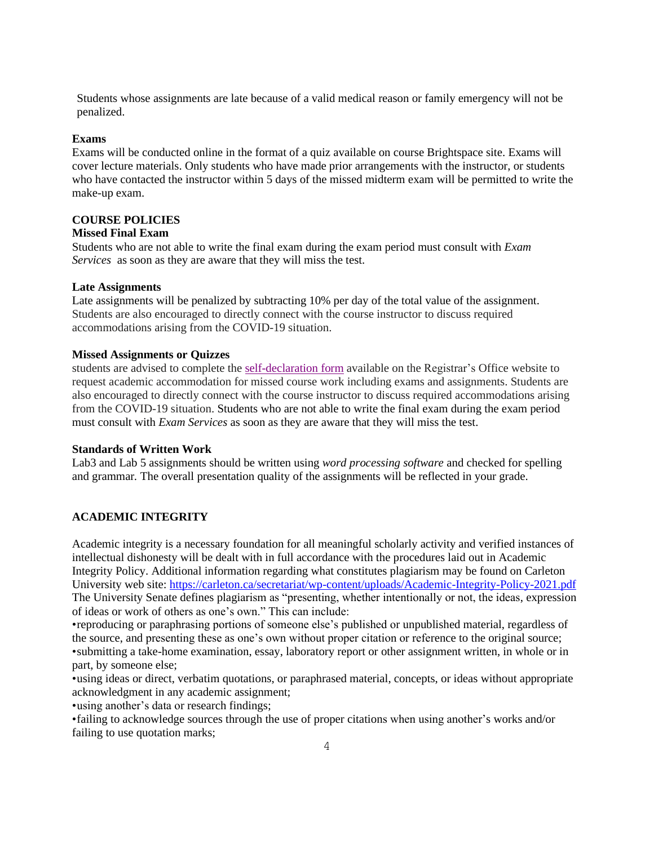Students whose assignments are late because of a valid medical reason or family emergency will not be penalized.

#### **Exams**

Exams will be conducted online in the format of a quiz available on course Brightspace site. Exams will cover lecture materials. Only students who have made prior arrangements with the instructor, or students who have contacted the instructor within 5 days of the missed midterm exam will be permitted to write the make-up exam.

# **COURSE POLICIES**

### **Missed Final Exam**

Students who are not able to write the final exam during the exam period must consult with *Exam Services* as soon as they are aware that they will miss the test.

## **Late Assignments**

Late assignments will be penalized by subtracting 10% per day of the total value of the assignment. Students are also encouraged to directly connect with the course instructor to discuss required accommodations arising from the COVID-19 situation.

#### **Missed Assignments or Quizzes**

students are advised to complete the [self-declaration](https://carleton.ca/registrar/wp-content/uploads/self-declaration.pdf) form available on the Registrar's Office website to request academic accommodation for missed course work including exams and assignments. Students are also encouraged to directly connect with the course instructor to discuss required accommodations arising from the COVID-19 situation. Students who are not able to write the final exam during the exam period must consult with *Exam Services* as soon as they are aware that they will miss the test.

## **Standards of Written Work**

Lab3 and Lab 5 assignments should be written using *word processing software* and checked for spelling and grammar*.* The overall presentation quality of the assignments will be reflected in your grade.

## **ACADEMIC INTEGRITY**

Academic integrity is a necessary foundation for all meaningful scholarly activity and verified instances of intellectual dishonesty will be dealt with in full accordance with the procedures laid out in Academic Integrity Policy. Additional information regarding what constitutes plagiarism may be found on Carleton University web site:<https://carleton.ca/secretariat/wp-content/uploads/Academic-Integrity-Policy-2021.pdf> The University Senate defines plagiarism as "presenting, whether intentionally or not, the ideas, expression of ideas or work of others as one's own." This can include:

•reproducing or paraphrasing portions of someone else's published or unpublished material, regardless of the source, and presenting these as one's own without proper citation or reference to the original source; •submitting a take-home examination, essay, laboratory report or other assignment written, in whole or in part, by someone else;

•using ideas or direct, verbatim quotations, or paraphrased material, concepts, or ideas without appropriate acknowledgment in any academic assignment;

•using another's data or research findings;

•failing to acknowledge sources through the use of proper citations when using another's works and/or failing to use quotation marks;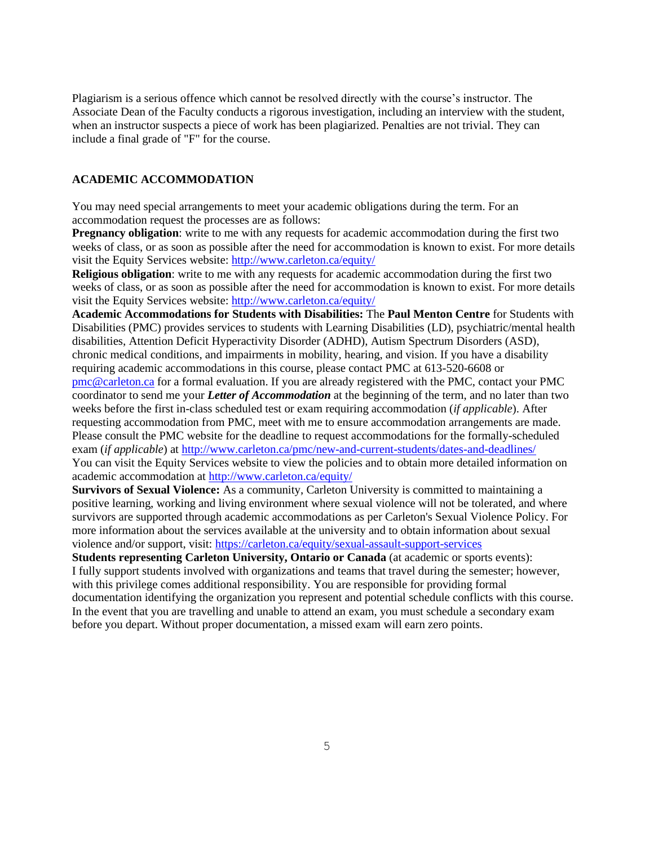Plagiarism is a serious offence which cannot be resolved directly with the course's instructor. The Associate Dean of the Faculty conducts a rigorous investigation, including an interview with the student, when an instructor suspects a piece of work has been plagiarized. Penalties are not trivial. They can include a final grade of "F" for the course.

## **ACADEMIC ACCOMMODATION**

You may need special arrangements to meet your academic obligations during the term. For an accommodation request the processes are as follows:

**Pregnancy obligation**: write to me with any requests for academic accommodation during the first two weeks of class, or as soon as possible after the need for accommodation is known to exist. For more details visit the Equity Services website: <http://www.carleton.ca/equity/>

**Religious obligation**: write to me with any requests for academic accommodation during the first two weeks of class, or as soon as possible after the need for accommodation is known to exist. For more details visit the Equity Services website: <http://www.carleton.ca/equity/>

**Academic Accommodations for Students with Disabilities:** The **Paul Menton Centre** for Students with Disabilities (PMC) provides services to students with Learning Disabilities (LD), psychiatric/mental health disabilities, Attention Deficit Hyperactivity Disorder (ADHD), Autism Spectrum Disorders (ASD), chronic medical conditions, and impairments in mobility, hearing, and vision. If you have a disability requiring academic accommodations in this course, please contact PMC at 613-520-6608 or [pmc@carleton.ca](mailto:pmc@carleton.ca) for a formal evaluation. If you are already registered with the PMC, contact your PMC coordinator to send me your *Letter of Accommodation* at the beginning of the term, and no later than two weeks before the first in-class scheduled test or exam requiring accommodation (*if applicable*). After requesting accommodation from PMC, meet with me to ensure accommodation arrangements are made. Please consult the PMC website for the deadline to request accommodations for the formally-scheduled exam (*if applicable*) at<http://www.carleton.ca/pmc/new-and-current-students/dates-and-deadlines/> You can visit the Equity Services website to view the policies and to obtain more detailed information on

academic accommodation at<http://www.carleton.ca/equity/>

**Survivors of Sexual Violence:** As a community, Carleton University is committed to maintaining a positive learning, working and living environment where sexual violence will not be tolerated, and where survivors are supported through academic accommodations as per Carleton's Sexual Violence Policy. For more information about the services available at the university and to obtain information about sexual violence and/or support, visit:<https://carleton.ca/equity/sexual-assault-support-services>

**Students representing Carleton University, Ontario or Canada** (at academic or sports events): I fully support students involved with organizations and teams that travel during the semester; however, with this privilege comes additional responsibility. You are responsible for providing formal documentation identifying the organization you represent and potential schedule conflicts with this course. In the event that you are travelling and unable to attend an exam, you must schedule a secondary exam before you depart. Without proper documentation, a missed exam will earn zero points.